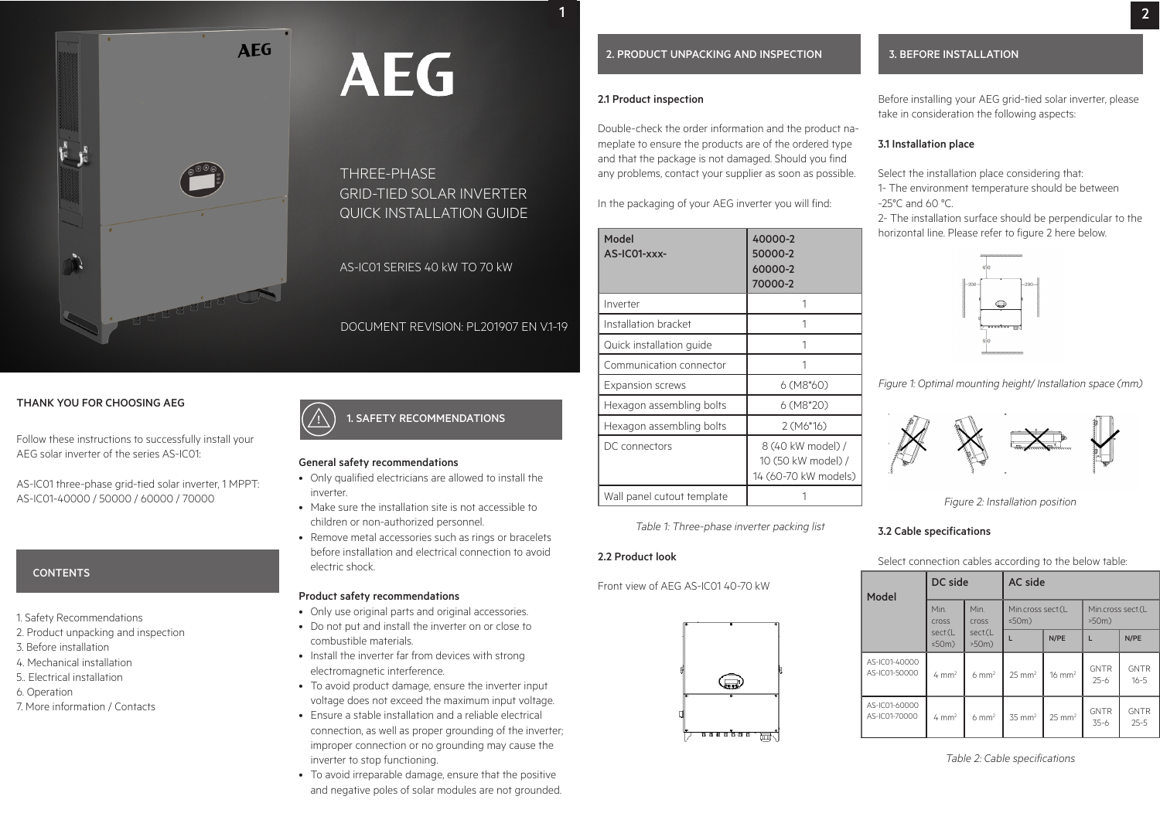**AEG** 

# THREE-PHASE GRID-TIED SOLAR INVERTER QUICK INSTALLATION GUIDE

# AS-IC01 SERIES 40 kW TO 70 kW

# DOCUMENT REVISION: PL201907 EN V.1-19

# THANK YOU FOR CHOOSING AEG

Follow these instructions to successfully install your AEG solar inverter of the series AS-IC01:

AS-IC01 three-phase grid-tied solar inverter, 1 MPPT: AS-IC01-40000 / 50000 / 60000 / 70000

# **CONTENTS**

- 1. Safety Recommendations
- 2. Product unpacking and inspection
- 3. Before installation
- 4. Mechanical installation
- 5.. Electrical installation
- 6. Operation
- 7. More information / Contacts

#### 1. SAFETY RECOMMENDATIONS |<br>|

#### General safety recommendations

- Only qualified electricians are allowed to install the inverter.
- Make sure the installation site is not accessible to children or non-authorized personnel.
- Remove metal accessories such as rings or bracelets before installation and electrical connection to avoid electric shock.

# Product safety recommendations

- Only use original parts and original accessories.
- Do not put and install the inverter on or close to combustible materials.
- Install the inverter far from devices with strong electromagnetic interference.
- To avoid product damage, ensure the inverter input voltage does not exceed the maximum input voltage.
- Ensure a stable installation and a reliable electrical connection, as well as proper grounding of the inverter; improper connection or no grounding may cause the inverter to stop functioning.
- To avoid irreparable damage, ensure that the positive and negative poles of solar modules are not grounded.

#### 2. PRODUCT UNPACKING AND INSPECTION

#### 2.1 Product inspection

Double-check the order information and the product nameplate to ensure the products are of the ordered type and that the package is not damaged. Should you find any problems, contact your supplier as soon as possible.

In the packaging of your AEG inverter you will find:

| Model<br>AS-IC01-xxx-      | 40000-2<br>50000-2<br>60000-2<br>70000-2                        |  |  |  |
|----------------------------|-----------------------------------------------------------------|--|--|--|
| Inverter                   | 1                                                               |  |  |  |
| Installation bracket       | 1                                                               |  |  |  |
| Quick installation guide   |                                                                 |  |  |  |
| Communication connector    | 1                                                               |  |  |  |
| <b>Expansion screws</b>    | $6(M8*60)$                                                      |  |  |  |
| Hexagon assembling bolts   | 6 (M8*20)                                                       |  |  |  |
| Hexagon assembling bolts   | $2(M6*16)$                                                      |  |  |  |
| DC connectors              | 8 (40 kW model) /<br>10 (50 kW model) /<br>14 (60-70 kW models) |  |  |  |
| Wall panel cutout template |                                                                 |  |  |  |

*Table 1: Three-phase inverter packing list*

Front view of AEG AS-IC01 40-70 kW



#### 3. BEFORE INSTALLATION

Before installing your AEG grid-tied solar inverter, please take in consideration the following aspects:

# 3.1 Installation place

Select the installation place considering that: 1- The environment temperature should be between -25°C and 60 °C.

2- The installation surface should be perpendicular to the horizontal line. Please refer to figure 2 here below.



*Figure 1: Optimal mounting height/ Installation space (mm)*



*Figure 2: Installation position*

#### 3.2 Cable specifications

Select connection cables according to the below table:

| Model                          | DC side                |                                                          | <b>AC</b> side    |                               |                         |                         |
|--------------------------------|------------------------|----------------------------------------------------------|-------------------|-------------------------------|-------------------------|-------------------------|
|                                | Min.<br><b>Cross</b>   | Min.<br>Min.cross sect.(L<br>$\leq$ 50m)<br><b>Cross</b> |                   | Min.cross sect.(L<br>$>50m$ ) |                         |                         |
|                                | sect.(L<br>$\leq$ 50m) | sect.(L<br>$>50m$ )                                      |                   | N/PE                          | L                       | N/PE                    |
| AS-IC01-40000<br>AS-IC01-50000 | $4 \text{ mm}^2$       | $6 \text{ mm}^2$                                         | $25 \text{ mm}^2$ | $16 \text{ mm}^2$             | <b>GNTR</b><br>$25 - 6$ | <b>GNTR</b><br>$16 - 5$ |
| AS-IC01-60000<br>AS-IC01-70000 | $4 \text{ mm}^2$       | $6 \text{ mm}^2$                                         | $35 \text{ mm}^2$ | $25 \text{ mm}^2$             | <b>GNTR</b><br>$35-6$   | <b>GNTR</b><br>$25 - 5$ |

*Table 2: Cable specifications*







**AEG**